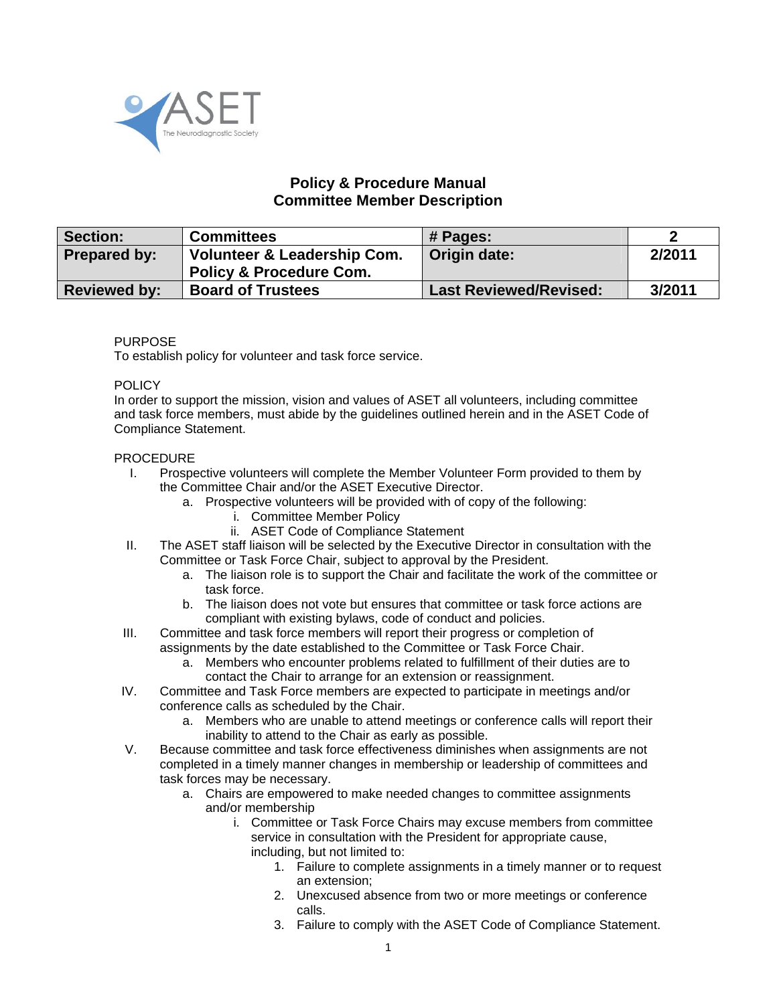

## **Policy & Procedure Manual Committee Member Description**

| Section:            | <b>Committees</b>                                                            | # Pages:                      |        |
|---------------------|------------------------------------------------------------------------------|-------------------------------|--------|
| <b>Prepared by:</b> | <b>Volunteer &amp; Leadership Com.</b><br><b>Policy &amp; Procedure Com.</b> | Origin date:                  | 2/2011 |
| <b>Reviewed by:</b> | <b>Board of Trustees</b>                                                     | <b>Last Reviewed/Revised:</b> | 3/2011 |

## PURPOSE

To establish policy for volunteer and task force service.

## POLICY

In order to support the mission, vision and values of ASET all volunteers, including committee and task force members, must abide by the guidelines outlined herein and in the ASET Code of Compliance Statement.

## PROCEDURE

- I. Prospective volunteers will complete the Member Volunteer Form provided to them by the Committee Chair and/or the ASET Executive Director.
	- a. Prospective volunteers will be provided with of copy of the following:
		- i. Committee Member Policy
		- ii. ASET Code of Compliance Statement
- II. The ASET staff liaison will be selected by the Executive Director in consultation with the Committee or Task Force Chair, subject to approval by the President.
	- a. The liaison role is to support the Chair and facilitate the work of the committee or task force.
	- b. The liaison does not vote but ensures that committee or task force actions are compliant with existing bylaws, code of conduct and policies.
- III. Committee and task force members will report their progress or completion of assignments by the date established to the Committee or Task Force Chair.
	- a. Members who encounter problems related to fulfillment of their duties are to contact the Chair to arrange for an extension or reassignment.
- IV. Committee and Task Force members are expected to participate in meetings and/or conference calls as scheduled by the Chair.
	- a. Members who are unable to attend meetings or conference calls will report their inability to attend to the Chair as early as possible.
- V. Because committee and task force effectiveness diminishes when assignments are not completed in a timely manner changes in membership or leadership of committees and task forces may be necessary.
	- a. Chairs are empowered to make needed changes to committee assignments and/or membership
		- i. Committee or Task Force Chairs may excuse members from committee service in consultation with the President for appropriate cause, including, but not limited to:
			- 1. Failure to complete assignments in a timely manner or to request an extension;
			- 2. Unexcused absence from two or more meetings or conference calls.
			- 3. Failure to comply with the ASET Code of Compliance Statement.